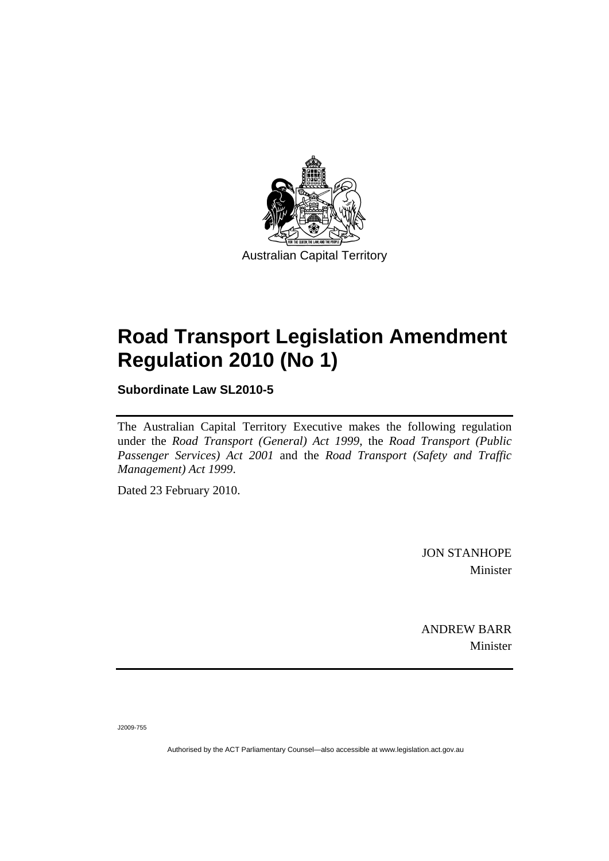

# **[Road Transport Legislation Amendment](#page-2-0)  [Regulation 2010 \(No 1\)](#page-2-0)**

**Subordinate Law SL2010-5** 

The Australian Capital Territory Executive makes the following regulation under the *Road Transport (General) Act 1999*, the *Road Transport (Public Passenger Services) Act 2001* and the *Road Transport (Safety and Traffic Management) Act 1999*.

Dated 23 February 2010.

JON STANHOPE Minister

ANDREW BARR Minister

J2009-755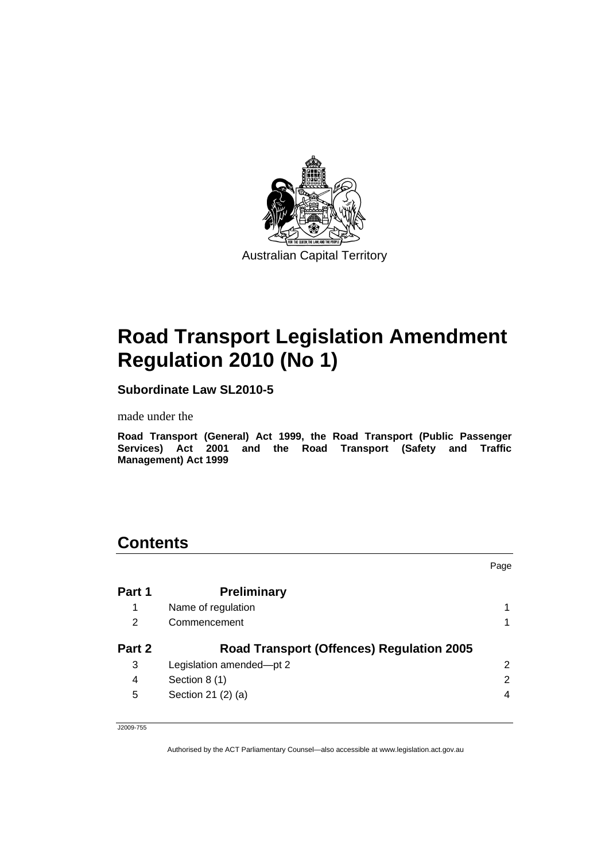<span id="page-2-0"></span>

# **Road Transport Legislation Amendment Regulation 2010 (No 1)**

**Subordinate Law SL2010-5** 

made under the

**Road Transport (General) Act 1999, the Road Transport (Public Passenger Services) Act 2001 and the Road Transport (Safety and Traffic Management) Act 1999** 

# **Contents**

|        |                                                  | Page |
|--------|--------------------------------------------------|------|
| Part 1 | <b>Preliminary</b>                               |      |
| 1      | Name of regulation                               |      |
| 2      | Commencement                                     |      |
| Part 2 | <b>Road Transport (Offences) Regulation 2005</b> |      |
| 3      | Legislation amended-pt 2                         | 2    |
| 4      | Section 8 (1)                                    | 2    |
| 5      | Section 21 (2) (a)                               | 4    |

J2009-755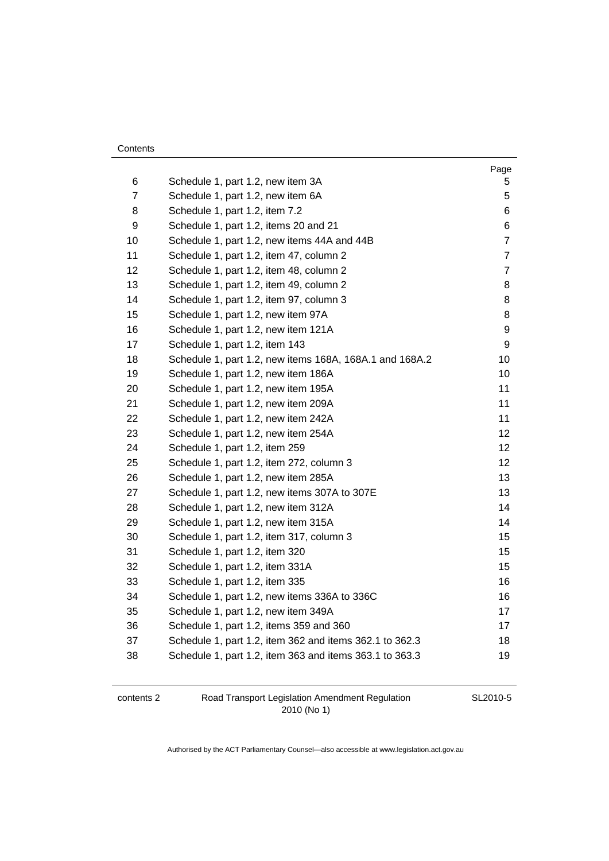| Contents |
|----------|
|----------|

|    |                                                         | Page           |
|----|---------------------------------------------------------|----------------|
| 6  | Schedule 1, part 1.2, new item 3A                       | 5.             |
| 7  | Schedule 1, part 1.2, new item 6A                       | 5              |
| 8  | Schedule 1, part 1.2, item 7.2                          | 6              |
| 9  | Schedule 1, part 1.2, items 20 and 21                   | 6              |
| 10 | Schedule 1, part 1.2, new items 44A and 44B             | $\overline{7}$ |
| 11 | Schedule 1, part 1.2, item 47, column 2                 | $\overline{7}$ |
| 12 | Schedule 1, part 1.2, item 48, column 2                 | $\overline{7}$ |
| 13 | Schedule 1, part 1.2, item 49, column 2                 | 8              |
| 14 | Schedule 1, part 1.2, item 97, column 3                 | 8              |
| 15 | Schedule 1, part 1.2, new item 97A                      | 8              |
| 16 | Schedule 1, part 1.2, new item 121A                     | 9              |
| 17 | Schedule 1, part 1.2, item 143                          | 9              |
| 18 | Schedule 1, part 1.2, new items 168A, 168A.1 and 168A.2 | 10             |
| 19 | Schedule 1, part 1.2, new item 186A                     | 10             |
| 20 | Schedule 1, part 1.2, new item 195A                     | 11             |
| 21 | Schedule 1, part 1.2, new item 209A                     | 11             |
| 22 | Schedule 1, part 1.2, new item 242A                     | 11             |
| 23 | Schedule 1, part 1.2, new item 254A                     | 12             |
| 24 | Schedule 1, part 1.2, item 259                          | 12             |
| 25 | Schedule 1, part 1.2, item 272, column 3                | 12             |
| 26 | Schedule 1, part 1.2, new item 285A                     | 13             |
| 27 | Schedule 1, part 1.2, new items 307A to 307E            | 13             |
| 28 | Schedule 1, part 1.2, new item 312A                     | 14             |
| 29 | Schedule 1, part 1.2, new item 315A                     | 14             |
| 30 | Schedule 1, part 1.2, item 317, column 3                | 15             |
| 31 | Schedule 1, part 1.2, item 320                          | 15             |
| 32 | Schedule 1, part 1.2, item 331A                         | 15             |
| 33 | Schedule 1, part 1.2, item 335                          | 16             |
| 34 | Schedule 1, part 1.2, new items 336A to 336C            | 16             |
| 35 | Schedule 1, part 1.2, new item 349A                     | 17             |
| 36 | Schedule 1, part 1.2, items 359 and 360                 | 17             |
| 37 | Schedule 1, part 1.2, item 362 and items 362.1 to 362.3 | 18             |
| 38 | Schedule 1, part 1.2, item 363 and items 363.1 to 363.3 | 19             |
|    |                                                         |                |

contents 2 Road Transport Legislation Amendment Regulation 2010 (No 1)

SL2010-5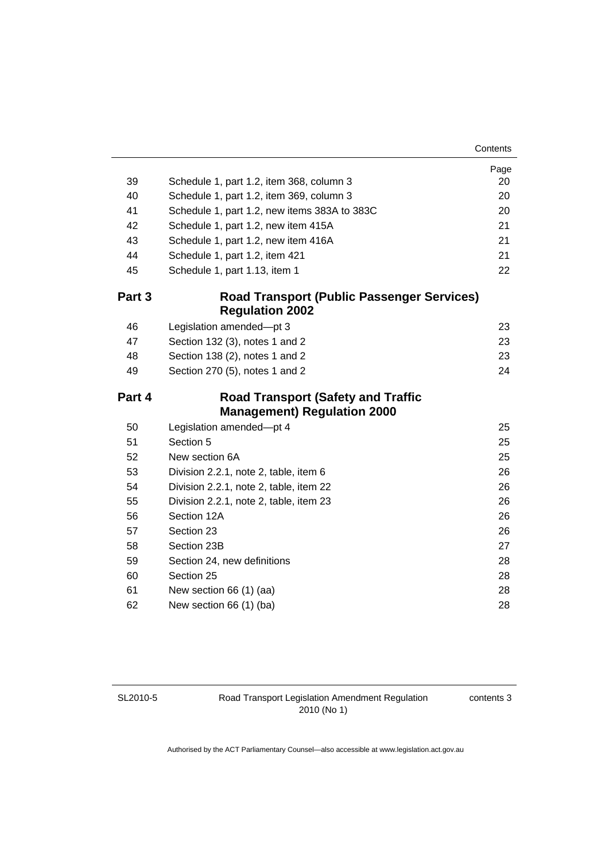### **Contents**

|        |                                                   | Page |
|--------|---------------------------------------------------|------|
| 39     | Schedule 1, part 1.2, item 368, column 3          | 20   |
| 40     | Schedule 1, part 1.2, item 369, column 3          | 20   |
| 41     | Schedule 1, part 1.2, new items 383A to 383C      | 20   |
| 42     | Schedule 1, part 1.2, new item 415A               | 21   |
| 43     | Schedule 1, part 1.2, new item 416A               | 21   |
| 44     | Schedule 1, part 1.2, item 421                    | 21   |
| 45     | Schedule 1, part 1.13, item 1                     | 22   |
| Part 3 | <b>Road Transport (Public Passenger Services)</b> |      |
|        | <b>Regulation 2002</b>                            |      |
| 46     | Legislation amended-pt 3                          | 23   |
| 47     | Section 132 (3), notes 1 and 2                    | 23   |
| 48     | Section 138 (2), notes 1 and 2                    | 23   |
| 49     | Section 270 (5), notes 1 and 2                    | 24   |
| Part 4 | <b>Road Transport (Safety and Traffic</b>         |      |
|        |                                                   |      |
| 50     | <b>Management) Regulation 2000</b>                | 25   |
| 51     | Legislation amended-pt 4<br>Section 5             | 25   |
| 52     | New section 6A                                    | 25   |
| 53     | Division 2.2.1, note 2, table, item 6             | 26   |
| 54     | Division 2.2.1, note 2, table, item 22            | 26   |
| 55     | Division 2.2.1, note 2, table, item 23            | 26   |
| 56     | Section 12A                                       | 26   |
| 57     | Section 23                                        | 26   |
| 58     | Section 23B                                       | 27   |
| 59     | Section 24, new definitions                       | 28   |
| 60     | Section 25                                        | 28   |
| 61     | New section 66 (1) (aa)                           | 28   |
| 62     | New section 66 (1) (ba)                           | 28   |

SL2010-5

contents 3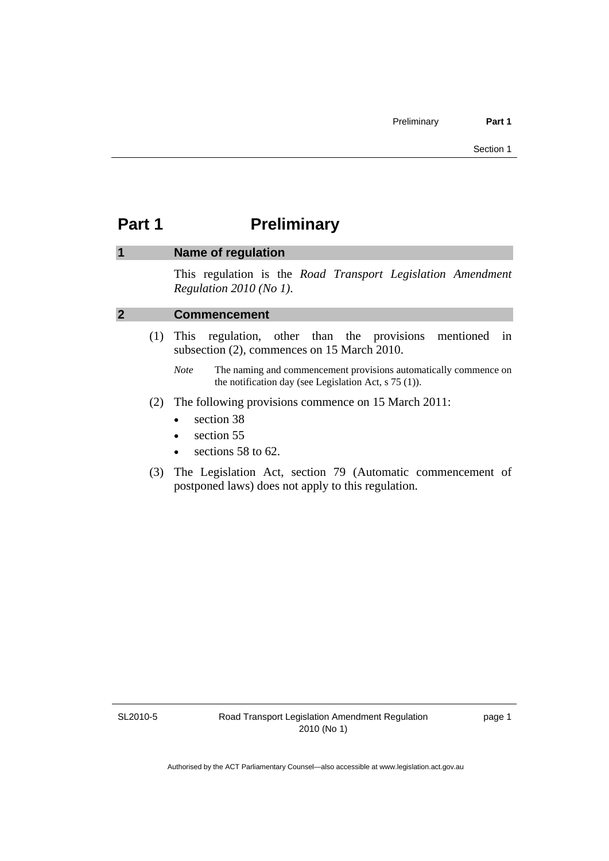## <span id="page-6-0"></span>**Part 1** Preliminary

### **1 Name of regulation**

This regulation is the *Road Transport Legislation Amendment Regulation 2010 (No 1)*.

### **2 Commencement**

- (1) This regulation, other than the provisions mentioned in subsection (2), commences on 15 March 2010.
	- *Note* The naming and commencement provisions automatically commence on the notification day (see Legislation Act, s 75 (1)).
- (2) The following provisions commence on 15 March 2011:
	- section 38
	- section 55
	- sections 58 to 62.
- (3) The Legislation Act, section 79 (Automatic commencement of postponed laws) does not apply to this regulation.

SL2010-5

page 1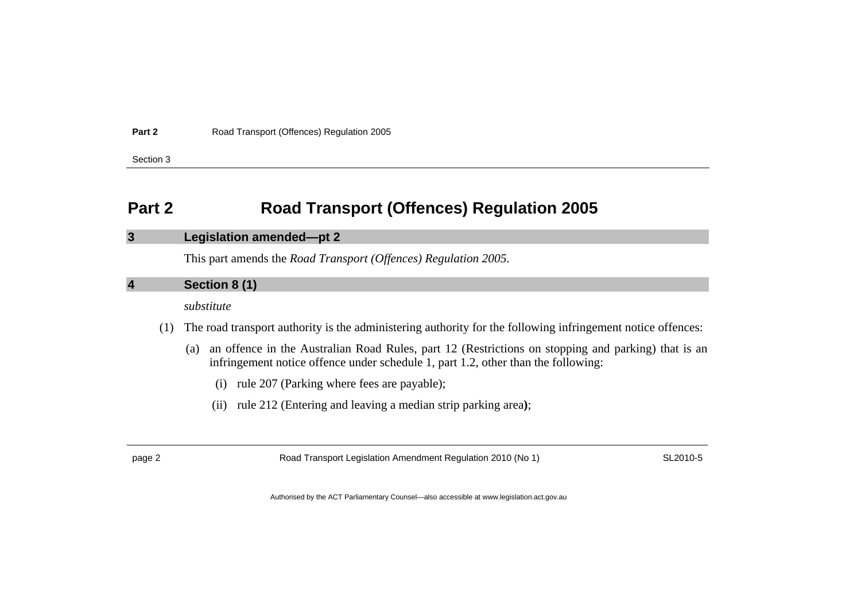| Part 2 |  |  | Road Transport (Offences) Regulation 2005 |
|--------|--|--|-------------------------------------------|
|--------|--|--|-------------------------------------------|

Section 3

# **Part 2 Road Transport (Offences) Regulation 2005**

| $\overline{3}$ |     | Legislation amended-pt 2                                                                                                                                                                       |
|----------------|-----|------------------------------------------------------------------------------------------------------------------------------------------------------------------------------------------------|
|                |     | This part amends the <i>Road Transport (Offences) Regulation 2005</i> .                                                                                                                        |
| $\overline{4}$ |     | Section 8 (1)                                                                                                                                                                                  |
|                |     | substitute                                                                                                                                                                                     |
|                | (1) | The road transport authority is the administering authority for the following infringement notice offences:                                                                                    |
|                |     | an offence in the Australian Road Rules, part 12 (Restrictions on stopping and parking) that is an<br>(a)<br>infringement notice offence under schedule 1, part 1.2, other than the following: |
|                |     | rule 207 (Parking where fees are payable);<br>(i)                                                                                                                                              |
|                |     | (ii) rule 212 (Entering and leaving a median strip parking area);                                                                                                                              |
|                |     |                                                                                                                                                                                                |

<span id="page-7-0"></span>

page 2 Road Transport Legislation Amendment Regulation 2010 (No 1) SL2010-5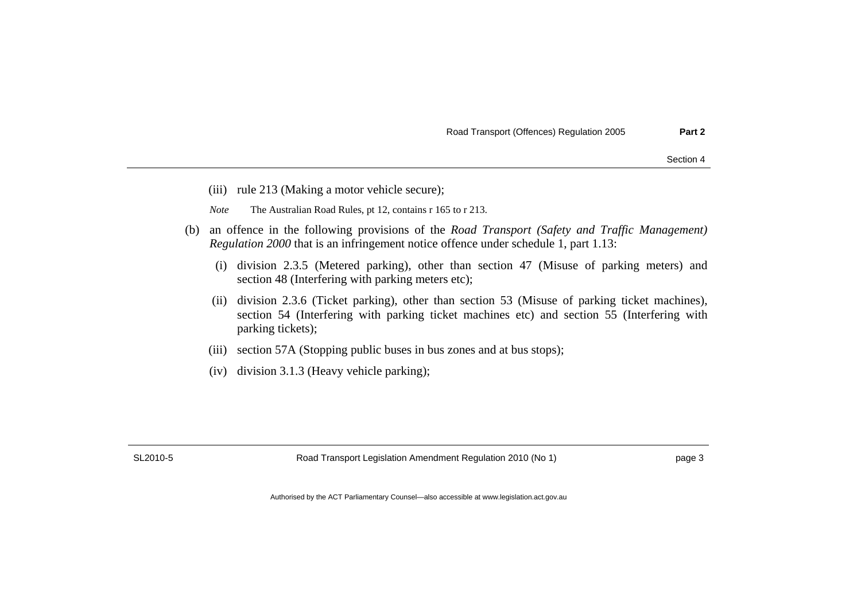- (iii) rule 213 (Making a motor vehicle secure);
- *Note* The Australian Road Rules, pt 12, contains r 165 to r 213.
- (b) an offence in the following provisions of the *Road Transport (Safety and Traffic Management) Regulation 2000* that is an infringement notice offence under schedule 1, part 1.13:
	- (i) division 2.3.5 (Metered parking), other than section 47 (Misuse of parking meters) and section 48 (Interfering with parking meters etc);
	- (ii) division 2.3.6 (Ticket parking), other than section 53 (Misuse of parking ticket machines), section 54 (Interfering with parking ticket machines etc) and section 55 (Interfering with parking tickets);
	- (iii) section 57A (Stopping public buses in bus zones and at bus stops);
	- (iv) division 3.1.3 (Heavy vehicle parking);

SL2010-5 Road Transport Legislation Amendment Regulation 2010 (No 1) page 3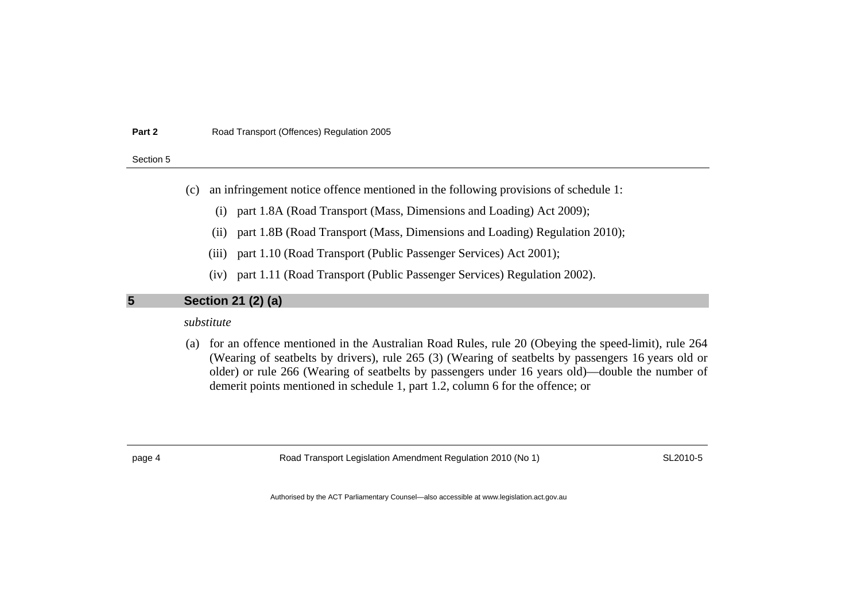Section 5

- (c) an infringement notice offence mentioned in the following provisions of schedule 1:
	- (i) part 1.8A (Road Transport (Mass, Dimensions and Loading) Act 2009);
	- (ii) part 1.8B (Road Transport (Mass, Dimensions and Loading) Regulation 2010);
	- (iii) part 1.10 (Road Transport (Public Passenger Services) Act 2001);
	- (iv) part 1.11 (Road Transport (Public Passenger Services) Regulation 2002).

### **5 Section 21 (2) (a)**

*substitute* 

 (a) for an offence mentioned in the Australian Road Rules, rule 20 (Obeying the speed-limit), rule 264 (Wearing of seatbelts by drivers), rule 265 (3) (Wearing of seatbelts by passengers 16 years old or older) or rule 266 (Wearing of seatbelts by passengers under 16 years old)—double the number of demerit points mentioned in schedule 1, part 1.2, column 6 for the offence; or

<span id="page-9-0"></span>

page 4 Road Transport Legislation Amendment Regulation 2010 (No 1) SL2010-5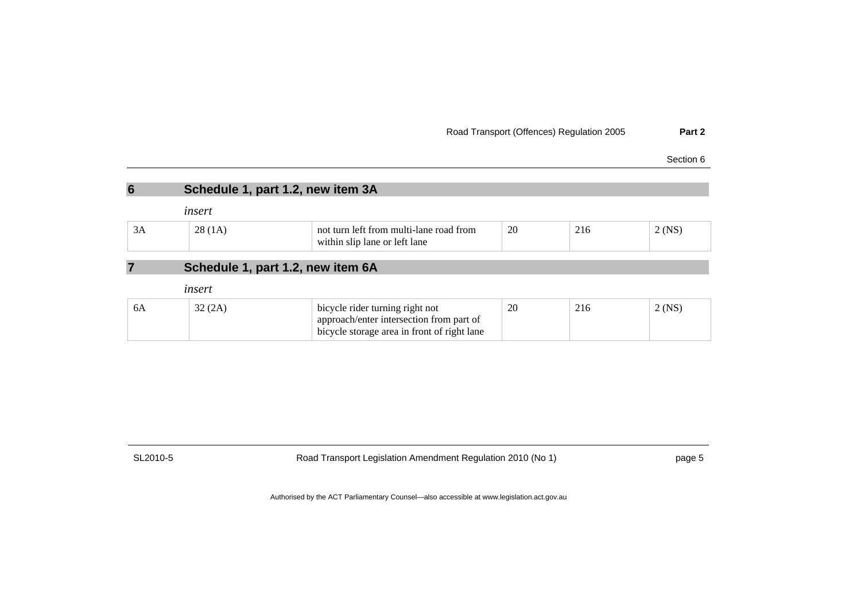| Road Transport (Offences) Regulation 2005 | Part 2 |
|-------------------------------------------|--------|
|-------------------------------------------|--------|

| Section 6 |
|-----------|
|-----------|

| $6\phantom{1}6$ |        | Schedule 1, part 1.2, new item 3A                                                                                          |    |     |          |
|-----------------|--------|----------------------------------------------------------------------------------------------------------------------------|----|-----|----------|
|                 | insert |                                                                                                                            |    |     |          |
| 3A              | 28(1A) | not turn left from multi-lane road from<br>within slip lane or left lane                                                   | 20 | 216 | $2$ (NS) |
| $\overline{7}$  |        | Schedule 1, part 1.2, new item 6A                                                                                          |    |     |          |
|                 | insert |                                                                                                                            |    |     |          |
| 6A              | 32(2A) | bicycle rider turning right not<br>approach/enter intersection from part of<br>bicycle storage area in front of right lane | 20 | 216 | $2$ (NS) |

<span id="page-10-0"></span>

SL2010-5 Road Transport Legislation Amendment Regulation 2010 (No 1) page 5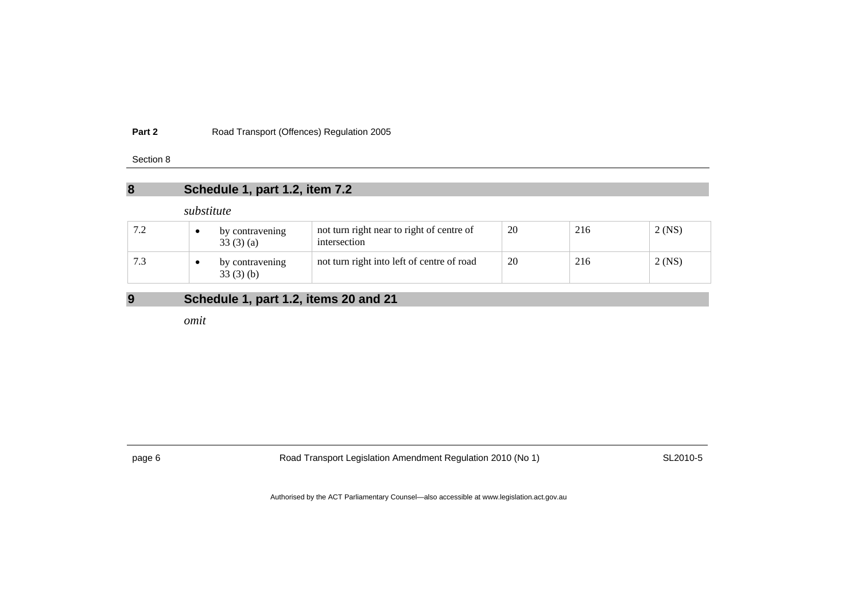Section 8

## **8 Schedule 1, part 1.2, item 7.2**

### *substitute*

| $\overline{\phantom{a}}$ | by contravening<br>33(3)(a) | not turn right near to right of centre of<br>intersection | 20 | 216 | $2$ (NS) |
|--------------------------|-----------------------------|-----------------------------------------------------------|----|-----|----------|
|                          | by contravening<br>33(3)(b) | not turn right into left of centre of road                | 20 | 216 | $2$ (NS) |

## **9 Schedule 1, part 1.2, items 20 and 21**

*omit* 

<span id="page-11-0"></span>

page 6 Road Transport Legislation Amendment Regulation 2010 (No 1) SL2010-5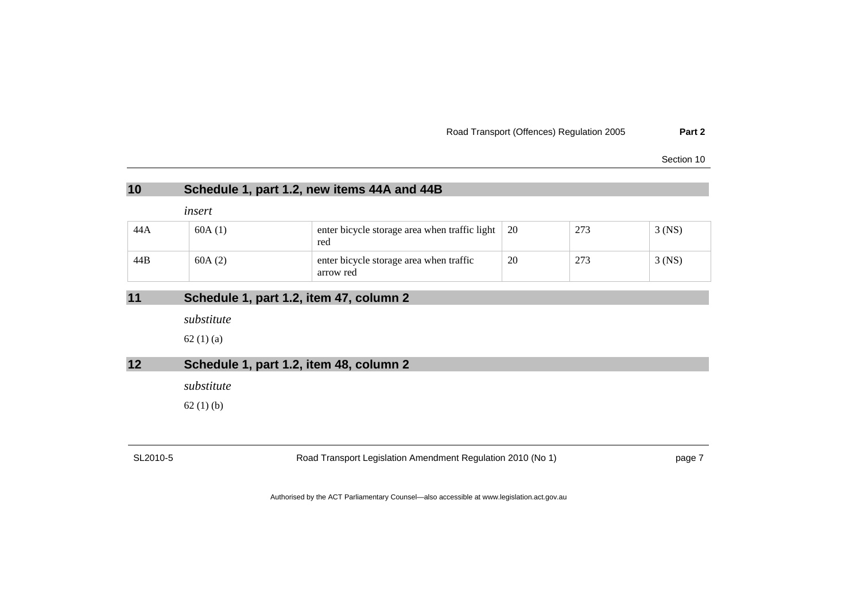| 10  | Schedule 1, part 1.2, new items 44A and 44B |                                                      |    |     |          |  |
|-----|---------------------------------------------|------------------------------------------------------|----|-----|----------|--|
|     | insert                                      |                                                      |    |     |          |  |
| 44A | 60A(1)                                      | enter bicycle storage area when traffic light<br>red | 20 | 273 | $3$ (NS) |  |
| 44B | 60A(2)                                      | enter bicycle storage area when traffic<br>arrow red | 20 | 273 | $3$ (NS) |  |
|     |                                             |                                                      |    |     |          |  |
| 11  | Schedule 1, part 1.2, item 47, column 2     |                                                      |    |     |          |  |
|     | substitute                                  |                                                      |    |     |          |  |
|     | 62(1)(a)                                    |                                                      |    |     |          |  |
| 12  | Schedule 1, part 1.2, item 48, column 2     |                                                      |    |     |          |  |

*substitute* 

62 (1) (b)

<span id="page-12-0"></span>

SL2010-5 Road Transport Legislation Amendment Regulation 2010 (No 1) page 7

Section 10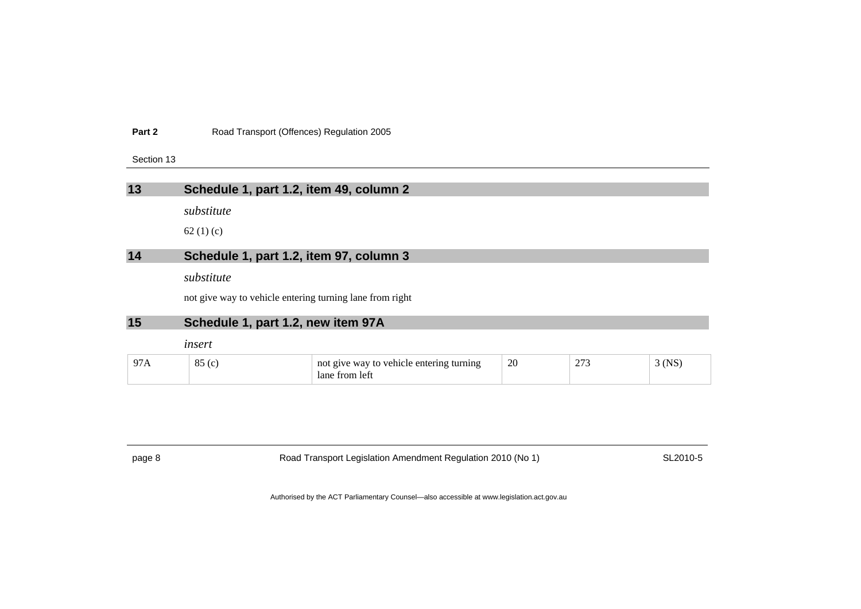Section 13

| 13  |                                    | Schedule 1, part 1.2, item 49, column 2                    |    |     |          |
|-----|------------------------------------|------------------------------------------------------------|----|-----|----------|
|     | substitute                         |                                                            |    |     |          |
|     | 62 $(1)(c)$                        |                                                            |    |     |          |
| 14  |                                    | Schedule 1, part 1.2, item 97, column 3                    |    |     |          |
|     | substitute                         |                                                            |    |     |          |
|     |                                    | not give way to vehicle entering turning lane from right   |    |     |          |
| 15  | Schedule 1, part 1.2, new item 97A |                                                            |    |     |          |
|     | insert                             |                                                            |    |     |          |
| 97A | 85(c)                              | not give way to vehicle entering turning<br>lane from left | 20 | 273 | $3$ (NS) |

<span id="page-13-0"></span>

| page 8 | Road Transport Legislation Amendment Regulation 2010 (No 1) | SL2010-5 |
|--------|-------------------------------------------------------------|----------|
|        |                                                             |          |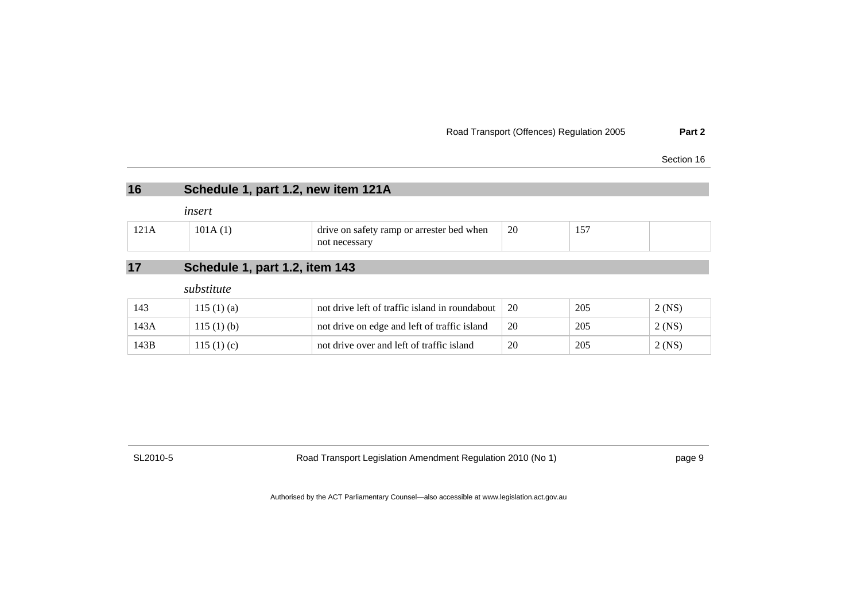| Section 16 |  |  |  |
|------------|--|--|--|
|------------|--|--|--|

| 16                                   | Schedule 1, part 1.2, new item 121A |                                                            |    |     |          |
|--------------------------------------|-------------------------------------|------------------------------------------------------------|----|-----|----------|
|                                      | insert                              |                                                            |    |     |          |
| 121A                                 | 101A(1)                             | drive on safety ramp or arrester bed when<br>not necessary | 20 | 157 |          |
| 17<br>Schedule 1, part 1.2, item 143 |                                     |                                                            |    |     |          |
|                                      | substitute                          |                                                            |    |     |          |
| 143                                  | 115(1)(a)                           | not drive left of traffic island in roundabout             | 20 | 205 | $2$ (NS) |
| 143A                                 | 115(1)(b)                           | not drive on edge and left of traffic island               | 20 | 205 | $2$ (NS) |
| 143B                                 | 115 $(1)(c)$                        | not drive over and left of traffic island                  | 20 | 205 | $2$ (NS) |

<span id="page-14-0"></span>

SL2010-5 Road Transport Legislation Amendment Regulation 2010 (No 1) page 9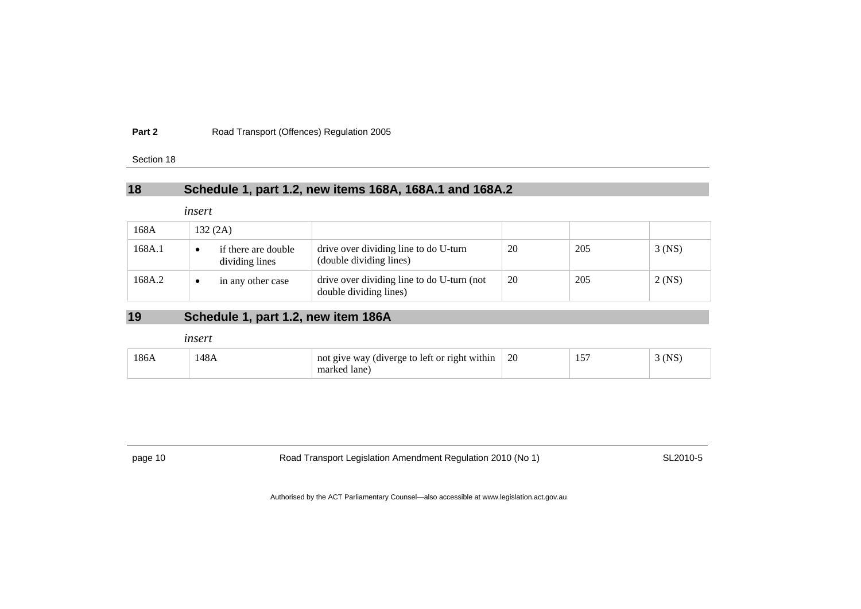Section 18

## **18 Schedule 1, part 1.2, new items 168A, 168A.1 and 168A.2**

*insert* 

| 168A   | 132(2A)                               |                                                                      |    |     |          |
|--------|---------------------------------------|----------------------------------------------------------------------|----|-----|----------|
| 168A.1 | if there are double<br>dividing lines | drive over dividing line to do U-turn<br>(double dividing lines)     | 20 | 205 | $3$ (NS) |
| 168A.2 | in any other case                     | drive over dividing line to do U-turn (not<br>double dividing lines) | 20 | 205 | 2 (NS)   |

## **19 Schedule 1, part 1.2, new item 186A**

*insert* 

| 186A | 148A | not give way (diverge to left or right within | 20 | 157 | (NS |
|------|------|-----------------------------------------------|----|-----|-----|
|      |      | marked lane)                                  |    |     |     |

<span id="page-15-0"></span>

| nane |  |
|------|--|
|------|--|

Road Transport Legislation Amendment Regulation 2010 (No 1) SL2010-5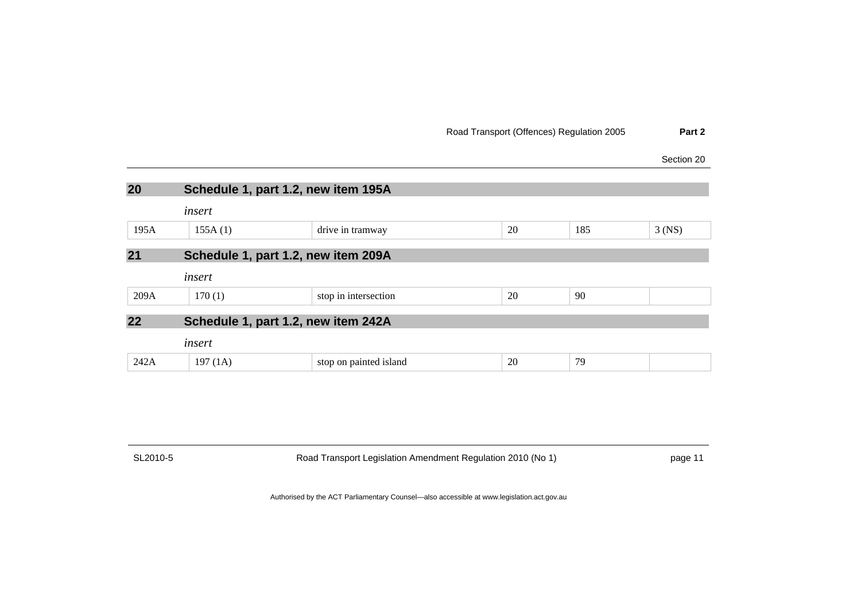| 20   | Schedule 1, part 1.2, new item 195A |                        |    |     |          |
|------|-------------------------------------|------------------------|----|-----|----------|
|      | insert                              |                        |    |     |          |
| 195A | 155A(1)                             | drive in tramway       | 20 | 185 | $3$ (NS) |
| 21   | Schedule 1, part 1.2, new item 209A |                        |    |     |          |
|      | insert                              |                        |    |     |          |
| 209A | 170(1)                              | stop in intersection   | 20 | 90  |          |
| 22   | Schedule 1, part 1.2, new item 242A |                        |    |     |          |
|      | insert                              |                        |    |     |          |
| 242A | 197(1A)                             | stop on painted island | 20 | 79  |          |
|      |                                     |                        |    |     |          |

<span id="page-16-0"></span>

SL2010-5 Road Transport Legislation Amendment Regulation 2010 (No 1) page 11

Section 20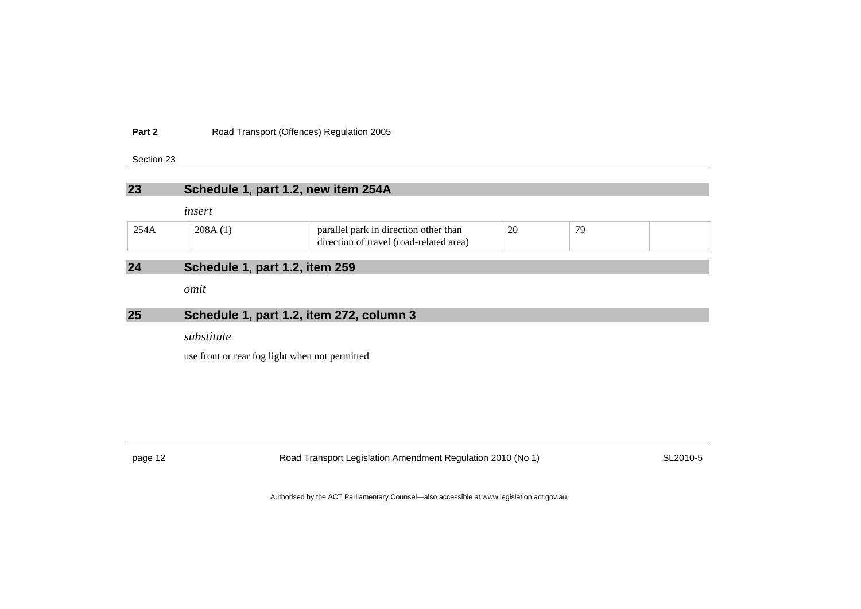### Section 23

| 23   |                                | Schedule 1, part 1.2, new item 254A                                              |    |    |  |
|------|--------------------------------|----------------------------------------------------------------------------------|----|----|--|
|      | insert                         |                                                                                  |    |    |  |
| 254A | 208A(1)                        | parallel park in direction other than<br>direction of travel (road-related area) | 20 | 79 |  |
| 24   | Schedule 1, part 1.2, item 259 |                                                                                  |    |    |  |
|      | omit                           |                                                                                  |    |    |  |
| 25   |                                | Schedule 1, part 1.2, item 272, column 3                                         |    |    |  |
|      | substitute                     |                                                                                  |    |    |  |
|      |                                | use front or rear fog light when not permitted                                   |    |    |  |
|      |                                |                                                                                  |    |    |  |
|      |                                |                                                                                  |    |    |  |

<span id="page-17-0"></span>

page 12 **Road Transport Legislation Amendment Regulation 2010 (No 1)** SL2010-5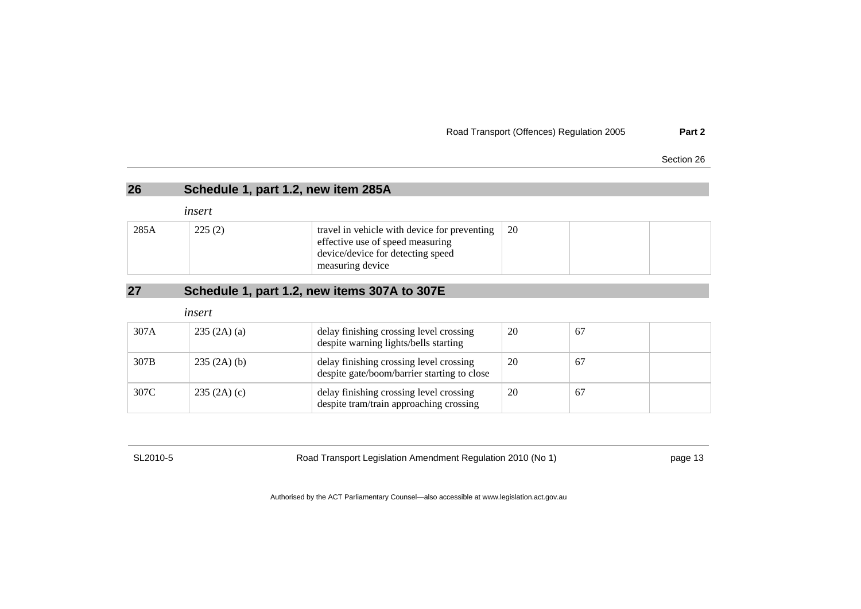|  | Section 26 |  |
|--|------------|--|
|--|------------|--|

| 26   |            | Schedule 1, part 1.2, new item 285A                                                                                                       |    |    |  |
|------|------------|-------------------------------------------------------------------------------------------------------------------------------------------|----|----|--|
|      | insert     |                                                                                                                                           |    |    |  |
| 285A | 225(2)     | travel in vehicle with device for preventing<br>effective use of speed measuring<br>device/device for detecting speed<br>measuring device | 20 |    |  |
|      |            |                                                                                                                                           |    |    |  |
| 27   |            | Schedule 1, part 1.2, new items 307A to 307E                                                                                              |    |    |  |
|      | insert     |                                                                                                                                           |    |    |  |
| 307A | 235(2A)(a) | delay finishing crossing level crossing<br>despite warning lights/bells starting                                                          | 20 | 67 |  |
| 307B | 235(2A)(b) | delay finishing crossing level crossing<br>despite gate/boom/barrier starting to close                                                    | 20 | 67 |  |

|      |            | despite gate/boom/barrier starting to close                                        |  |  |
|------|------------|------------------------------------------------------------------------------------|--|--|
| 307C | 235(2A)(c) | delay finishing crossing level crossing<br>despite tram/train approaching crossing |  |  |

<span id="page-18-0"></span>

SL2010-5 Road Transport Legislation Amendment Regulation 2010 (No 1) page 13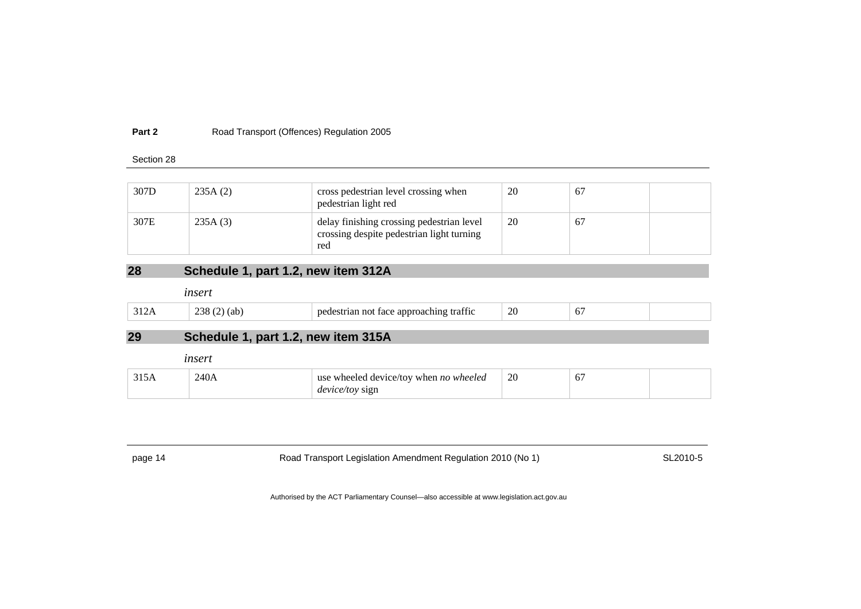### Section 28

| 307D | 235A(2) | cross pedestrian level crossing when<br>pedestrian light red                                  | 20 | 67 |  |
|------|---------|-----------------------------------------------------------------------------------------------|----|----|--|
| 307E | 235A(3) | delay finishing crossing pedestrian level<br>crossing despite pedestrian light turning<br>red | 20 | 67 |  |

## **28 Schedule 1, part 1.2, new item 312A**

*insert* 

|  | $\mathcal{L}$<br>'ah<br>יי | c.c<br>: annroaching<br>$\mathbf{a}$<br>.ace<br>not<br>rı 21<br>traffic | $\Delta t$ | --<br>O.<br>- - |  |
|--|----------------------------|-------------------------------------------------------------------------|------------|-----------------|--|
|--|----------------------------|-------------------------------------------------------------------------|------------|-----------------|--|

## **29 Schedule 1, part 1.2, new item 315A**

|      | insert |                                                                  |    |    |  |
|------|--------|------------------------------------------------------------------|----|----|--|
| 315A | 240A   | use wheeled device/toy when no wheeled<br><i>device/toy sign</i> | 20 | 61 |  |

<span id="page-19-0"></span>

| page 14 | Road Transport Legislation Amendment Regulation 2010 (No 1) | SL2010-5 |
|---------|-------------------------------------------------------------|----------|
|---------|-------------------------------------------------------------|----------|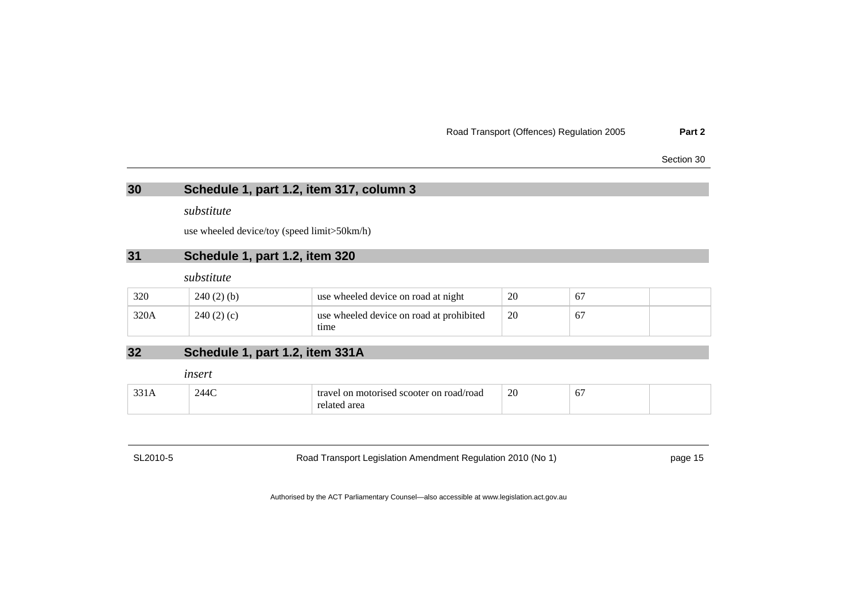Section 30

## **30 Schedule 1, part 1.2, item 317, column 3**

*substitute* 

use wheeled device/toy (speed limit>50km/h)

## **31 Schedule 1, part 1.2, item 320**

*substitute* 

| 320  | $240(2)$ (b) | use wheeled device on road at night              | 20 | 67 |  |
|------|--------------|--------------------------------------------------|----|----|--|
| 320A | 240(2)(c)    | use wheeled device on road at prohibited<br>tıme | 20 | 67 |  |

## **32 Schedule 1, part 1.2, item 331A**

*insert* 

| $\sim$ $\sim$ $\sim$<br>$\Lambda\Lambda C$<br>travel on motorised scooter on road/road<br>33 I A<br>area | 20<br>__ | $\overline{\phantom{a}}$<br>U. |  |
|----------------------------------------------------------------------------------------------------------|----------|--------------------------------|--|
|----------------------------------------------------------------------------------------------------------|----------|--------------------------------|--|

<span id="page-20-0"></span>

SL2010-5 Road Transport Legislation Amendment Regulation 2010 (No 1) page 15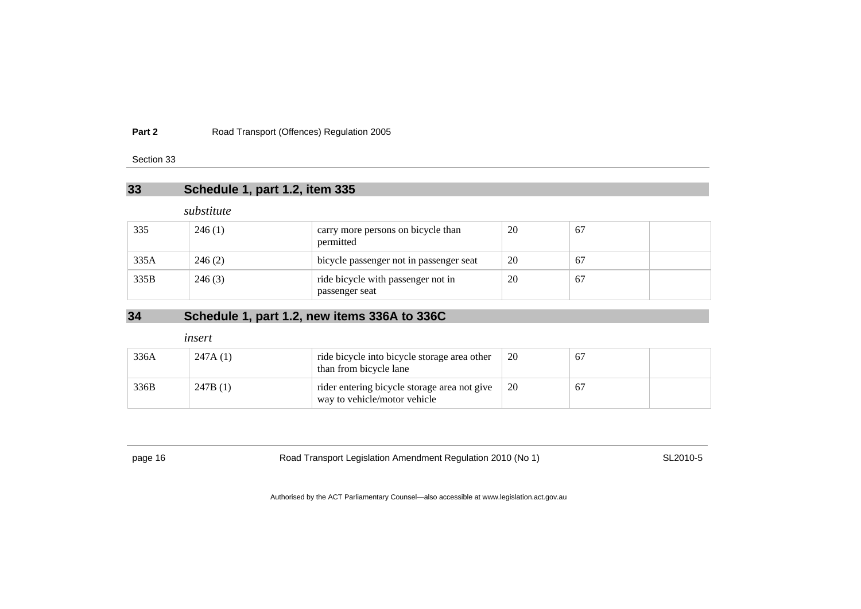### Section 33

## **33 Schedule 1, part 1.2, item 335**

### *substitute*

| 335  | 246(1) | carry more persons on bicycle than<br>permitted      | 20 | -67 |  |
|------|--------|------------------------------------------------------|----|-----|--|
| 335A | 246(2) | bicycle passenger not in passenger seat              | 20 | -67 |  |
| 335B | 246(3) | ride bicycle with passenger not in<br>passenger seat | 20 | -67 |  |

## **34 Schedule 1, part 1.2, new items 336A to 336C**

### *insert*

| 336A | 247A(1) | ride bicycle into bicycle storage area other<br>than from bicycle lane       | 20 | 67 |  |
|------|---------|------------------------------------------------------------------------------|----|----|--|
| 336B | 247B(1) | rider entering bicycle storage area not give<br>way to vehicle/motor vehicle | 20 | 67 |  |

<span id="page-21-0"></span>

page 16 **Road Transport Legislation Amendment Regulation 2010 (No 1)** SL2010-5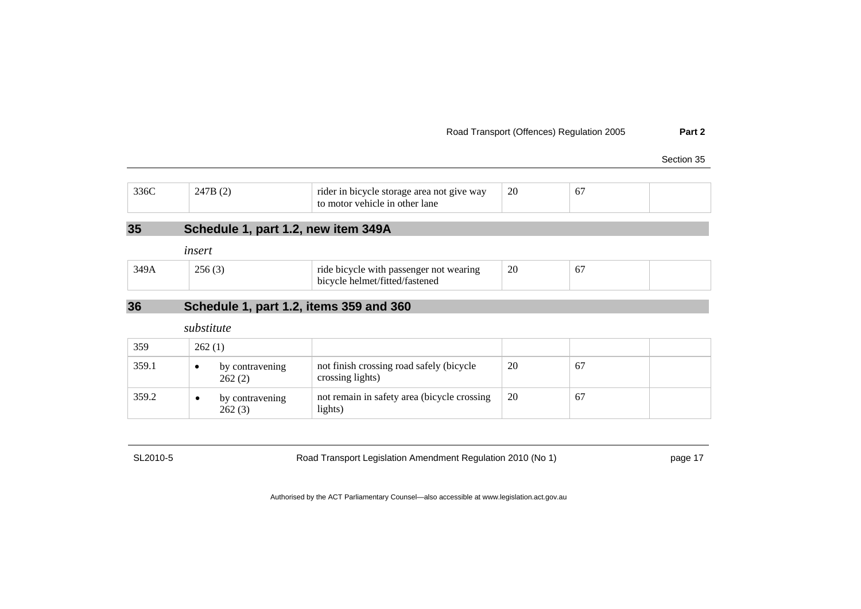Section 35

| 336C | 7R. | rider in bicycle storage area not give way | 20<br>$\sim$ | $\sigma$ |  |
|------|-----|--------------------------------------------|--------------|----------|--|
|      |     | to motor vehicle in other lane             |              |          |  |

## **35 Schedule 1, part 1.2, new item 349A**

*insert* 

|  | 256(3) | ride bicycle with passenger not wearing | 20 | $\sigma$ . |  |
|--|--------|-----------------------------------------|----|------------|--|
|  |        | bicycle helmet/fitted/fastened          |    |            |  |

## **36 Schedule 1, part 1.2, items 359 and 360**

*substitute* 

| 359   | 262(1)                    |                                                              |    |    |  |
|-------|---------------------------|--------------------------------------------------------------|----|----|--|
| 359.1 | by contravening<br>262(2) | not finish crossing road safely (bicycle<br>crossing lights) | 20 | 67 |  |
| 359.2 | by contravening<br>262(3) | not remain in safety area (bicycle crossing<br>lights)       | 20 | 67 |  |

<span id="page-22-0"></span>SL2010-5 Road Transport Legislation Amendment Regulation 2010 (No 1) page 17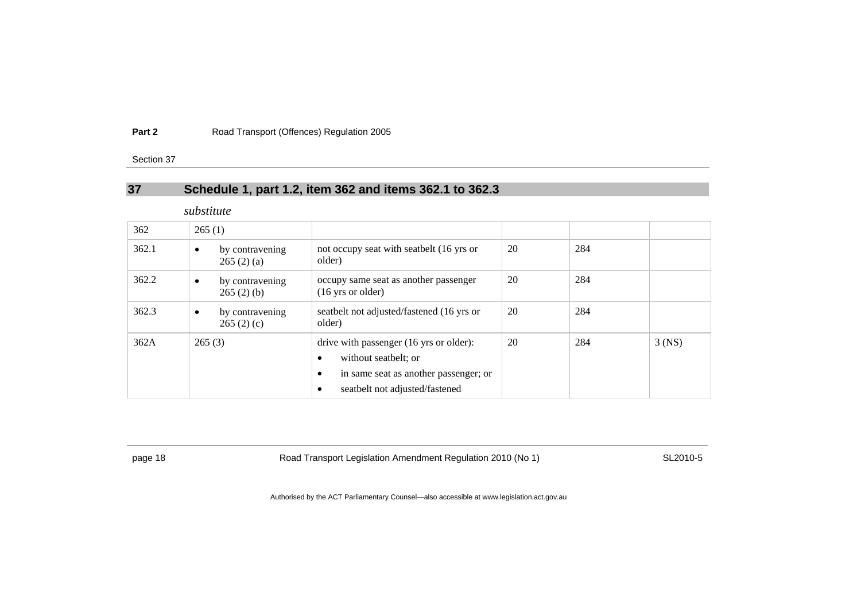Section 37

## **37 Schedule 1, part 1.2, item 362 and items 362.1 to 362.3**

### *substitute*

| 362   | 265(1)                                    |                                                                                                                                                 |    |     |          |
|-------|-------------------------------------------|-------------------------------------------------------------------------------------------------------------------------------------------------|----|-----|----------|
| 362.1 | by contravening<br>٠<br>265(2)(a)         | not occupy seat with seatbelt (16 yrs or<br>older)                                                                                              | 20 | 284 |          |
| 362.2 | by contravening<br>$\bullet$<br>265(2)(b) | occupy same seat as another passenger<br>$(16 \text{ yrs or older})$                                                                            | 20 | 284 |          |
| 362.3 | by contravening<br>٠<br>265(2)(c)         | seatbelt not adjusted/fastened (16 yrs or<br>older)                                                                                             | 20 | 284 |          |
| 362A  | 265(3)                                    | drive with passenger (16 yrs or older):<br>without seatbelt; or<br>in same seat as another passenger; or<br>٠<br>seatbelt not adjusted/fastened | 20 | 284 | $3$ (NS) |

<span id="page-23-0"></span>

page 18 **Road Transport Legislation Amendment Regulation 2010 (No 1)** SL2010-5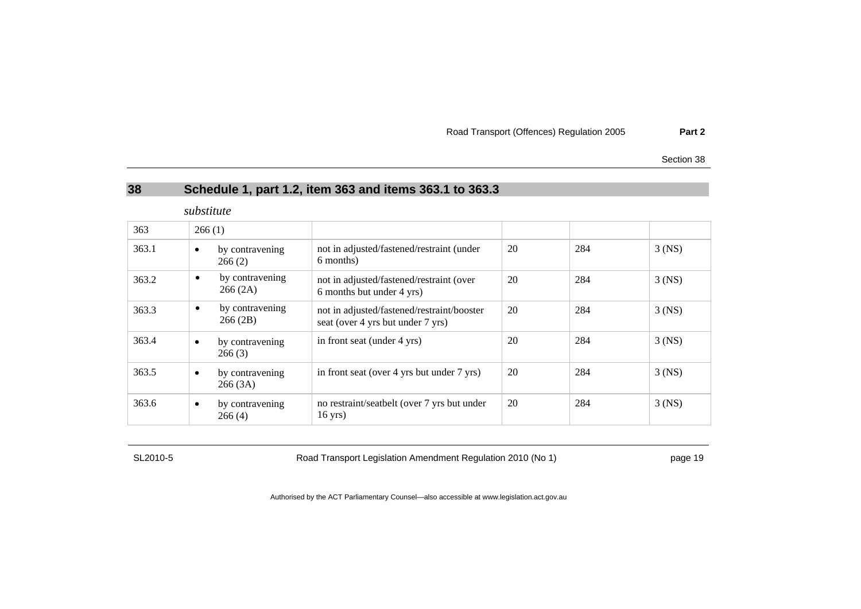Section 38

## **38 Schedule 1, part 1.2, item 363 and items 363.1 to 363.3**

### *substitute*

| 363   | 266(1)    |                            |                                                                                 |    |     |          |
|-------|-----------|----------------------------|---------------------------------------------------------------------------------|----|-----|----------|
| 363.1 | $\bullet$ | by contravening<br>266(2)  | not in adjusted/fastened/restraint (under<br>6 months)                          | 20 | 284 | $3$ (NS) |
| 363.2 | ٠         | by contravening<br>266(2A) | not in adjusted/fastened/restraint (over<br>6 months but under 4 yrs)           | 20 | 284 | $3$ (NS) |
| 363.3 | ٠         | by contravening<br>266(2B) | not in adjusted/fastened/restraint/booster<br>seat (over 4 yrs but under 7 yrs) | 20 | 284 | $3$ (NS) |
| 363.4 | $\bullet$ | by contravening<br>266(3)  | in front seat (under 4 yrs)                                                     | 20 | 284 | $3$ (NS) |
| 363.5 | $\bullet$ | by contravening<br>266(3A) | in front seat (over 4 yrs but under 7 yrs)                                      | 20 | 284 | $3$ (NS) |
| 363.6 | $\bullet$ | by contravening<br>266(4)  | no restraint/seatbelt (over 7 yrs but under<br>$16 \text{ yrs}$                 | 20 | 284 | $3$ (NS) |

<span id="page-24-0"></span>

SL2010-5 Road Transport Legislation Amendment Regulation 2010 (No 1) page 19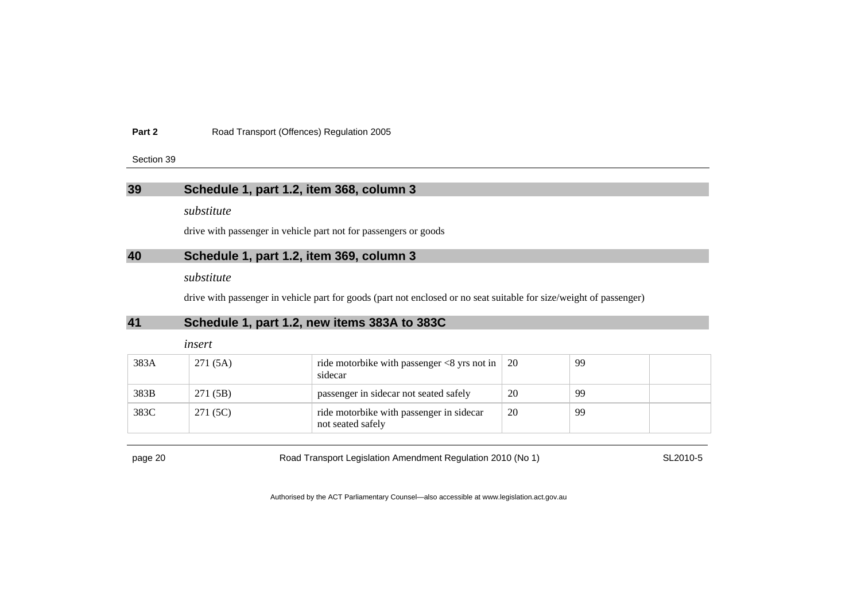Section 39

## **39 Schedule 1, part 1.2, item 368, column 3**

*substitute* 

drive with passenger in vehicle part not for passengers or goods

## **40 Schedule 1, part 1.2, item 369, column 3**

*substitute* 

drive with passenger in vehicle part for goods (part not enclosed or no seat suitable for size/weight of passenger)

## **41 Schedule 1, part 1.2, new items 383A to 383C**

*insert* 

| 383A | 271(5A)  | ride motorbike with passenger $\langle 8 \rangle$ yrs not in<br>sidecar | 20 | 99 |  |
|------|----------|-------------------------------------------------------------------------|----|----|--|
| 383B | 271 (5B) | passenger in sidecar not seated safely                                  | 20 | 99 |  |
| 383C | 271 (5C) | ride motorbike with passenger in sidecar<br>not seated safely           | 20 | 99 |  |

<span id="page-25-0"></span>

page 20 **Road Transport Legislation Amendment Regulation 2010 (No 1)** SL2010-5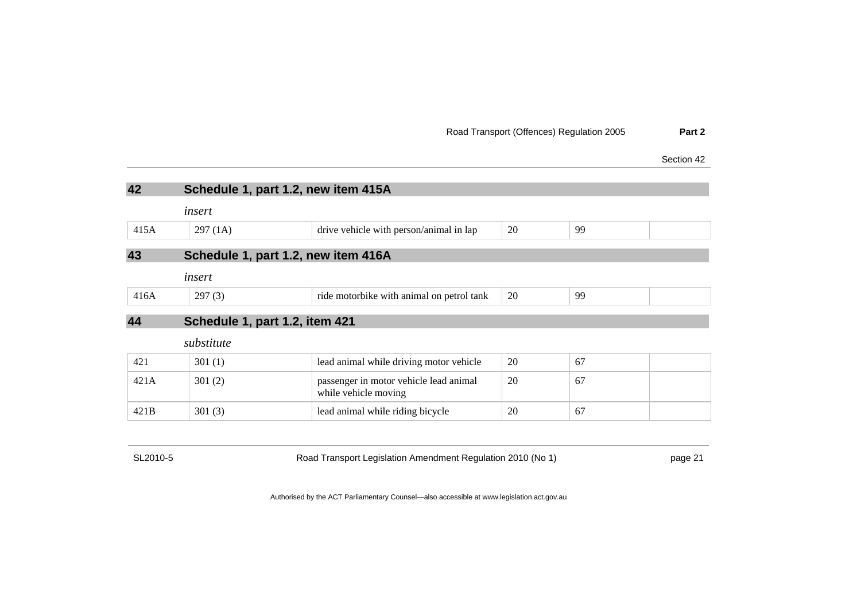| 42   |                                | Schedule 1, part 1.2, new item 415A                            |    |    |  |
|------|--------------------------------|----------------------------------------------------------------|----|----|--|
|      | insert                         |                                                                |    |    |  |
| 415A | 297(1A)                        | drive vehicle with person/animal in lap                        | 20 | 99 |  |
| 43   |                                | Schedule 1, part 1.2, new item 416A                            |    |    |  |
|      | insert                         |                                                                |    |    |  |
| 416A | 297(3)                         | ride motorbike with animal on petrol tank                      | 20 | 99 |  |
| 44   | Schedule 1, part 1.2, item 421 |                                                                |    |    |  |
|      | substitute                     |                                                                |    |    |  |
| 421  | 301(1)                         | lead animal while driving motor vehicle                        | 20 | 67 |  |
| 421A | 301(2)                         | passenger in motor vehicle lead animal<br>while vehicle moving | 20 | 67 |  |
| 421B | 301(3)                         | lead animal while riding bicycle                               | 20 | 67 |  |

<span id="page-26-0"></span>

SL2010-5 Road Transport Legislation Amendment Regulation 2010 (No 1) page 21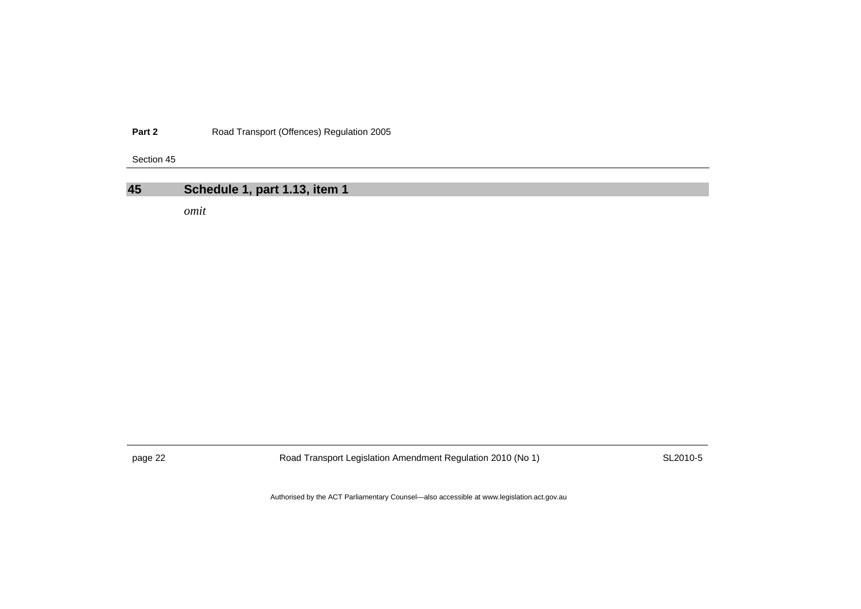Section 45

## **45 Schedule 1, part 1.13, item 1**

*omit* 

<span id="page-27-0"></span>

page 22 **Road Transport Legislation Amendment Regulation 2010 (No 1)** SL2010-5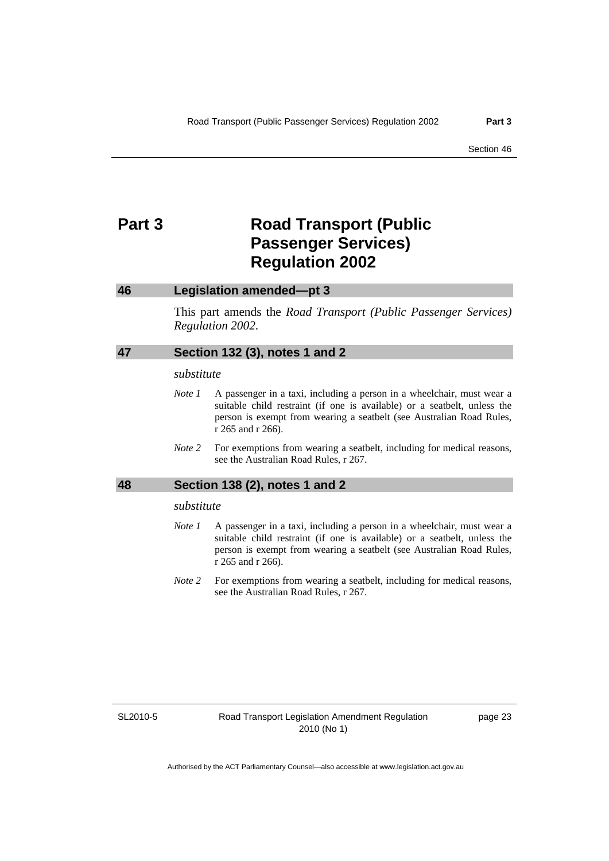## <span id="page-28-0"></span>**Part 3 Road Transport (Public Passenger Services) Regulation 2002**

### **46 Legislation amended—pt 3**

This part amends the *Road Transport (Public Passenger Services) Regulation 2002*.

### **47 Section 132 (3), notes 1 and 2**

### *substitute*

- *Note 1* A passenger in a taxi, including a person in a wheelchair, must wear a suitable child restraint (if one is available) or a seatbelt, unless the person is exempt from wearing a seatbelt (see Australian Road Rules, r 265 and r 266).
- *Note 2* For exemptions from wearing a seatbelt, including for medical reasons, see the Australian Road Rules, r 267.

### **48 Section 138 (2), notes 1 and 2**

### *substitute*

- *Note 1* A passenger in a taxi, including a person in a wheelchair, must wear a suitable child restraint (if one is available) or a seatbelt, unless the person is exempt from wearing a seatbelt (see Australian Road Rules, r 265 and r 266).
- *Note 2* For exemptions from wearing a seatbelt, including for medical reasons, see the Australian Road Rules, r 267.

SL2010-5

page 23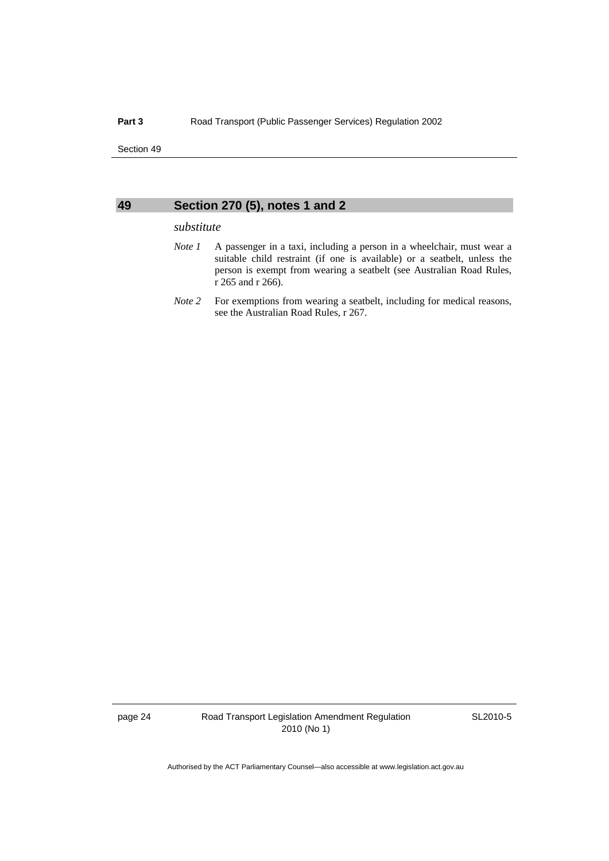<span id="page-29-0"></span>Section 49

## **49 Section 270 (5), notes 1 and 2**

### *substitute*

- *Note 1* A passenger in a taxi, including a person in a wheelchair, must wear a suitable child restraint (if one is available) or a seatbelt, unless the person is exempt from wearing a seatbelt (see Australian Road Rules, r 265 and r 266).
- *Note 2* For exemptions from wearing a seatbelt, including for medical reasons, see the Australian Road Rules, r 267.

page 24 Road Transport Legislation Amendment Regulation 2010 (No 1)

SL2010-5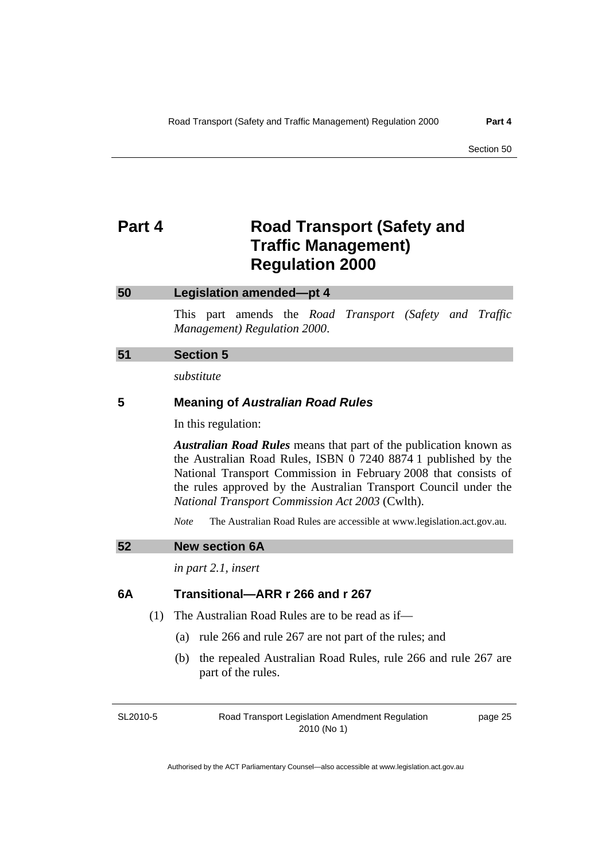## <span id="page-30-0"></span>**Part 4 Road Transport (Safety and Traffic Management) Regulation 2000**

### **50 Legislation amended—pt 4**

This part amends the *Road Transport (Safety and Traffic Management) Regulation 2000*.

## **51 Section 5**

*substitute* 

## **5 Meaning of** *Australian Road Rules*

In this regulation:

*Australian Road Rules* means that part of the publication known as the Australian Road Rules, ISBN 0 7240 8874 1 published by the National Transport Commission in February 2008 that consists of the rules approved by the Australian Transport Council under the *National Transport Commission Act 2003* (Cwlth).

*Note* The Australian Road Rules are accessible at www.legislation.act.gov.au.

### **52 New section 6A**

*in part 2.1, insert* 

### **6A Transitional—ARR r 266 and r 267**

- (1) The Australian Road Rules are to be read as if—
	- (a) rule 266 and rule 267 are not part of the rules; and
	- (b) the repealed Australian Road Rules, rule 266 and rule 267 are part of the rules.

SL2010-5

Road Transport Legislation Amendment Regulation 2010 (No 1)

page 25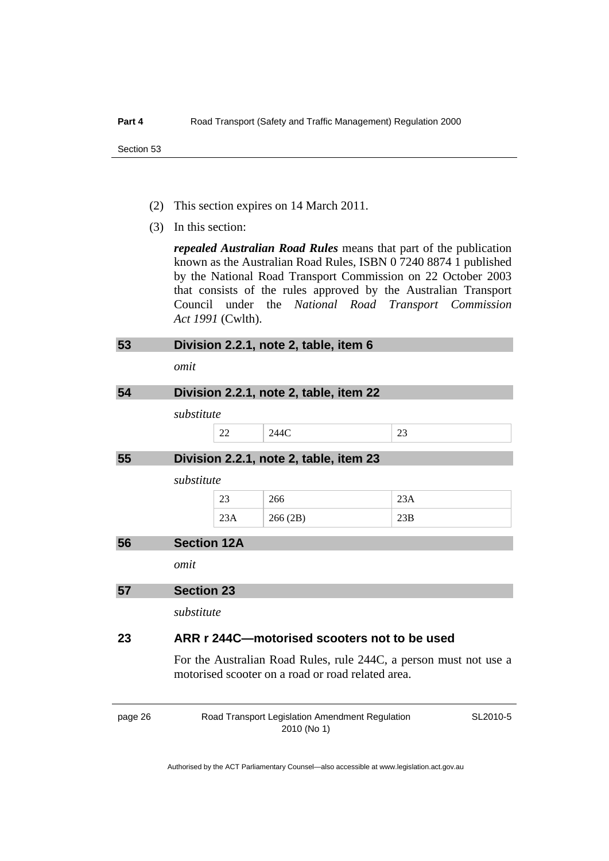<span id="page-31-0"></span>Section 53

- (2) This section expires on 14 March 2011.
- (3) In this section:

*repealed Australian Road Rules* means that part of the publication known as the Australian Road Rules, ISBN 0 7240 8874 1 published by the National Road Transport Commission on 22 October 2003 that consists of the rules approved by the Australian Transport Council under the *National Road Transport Commission Act 1991* (Cwlth).

| 53 | Division 2.2.1, note 2, table, item 6                |                                        |                                              |  |  |  |
|----|------------------------------------------------------|----------------------------------------|----------------------------------------------|--|--|--|
|    | omit                                                 |                                        |                                              |  |  |  |
|    |                                                      |                                        |                                              |  |  |  |
| 54 | Division 2.2.1, note 2, table, item 22<br>substitute |                                        |                                              |  |  |  |
|    |                                                      |                                        |                                              |  |  |  |
|    | 22                                                   | 244C                                   | 23                                           |  |  |  |
| 55 |                                                      | Division 2.2.1, note 2, table, item 23 |                                              |  |  |  |
|    | substitute                                           |                                        |                                              |  |  |  |
|    | 23                                                   | 266                                    | 23A                                          |  |  |  |
|    | 23A                                                  | 266 (2B)                               | 23B                                          |  |  |  |
| 56 | <b>Section 12A</b>                                   |                                        |                                              |  |  |  |
|    | omit                                                 |                                        |                                              |  |  |  |
| 57 | <b>Section 23</b>                                    |                                        |                                              |  |  |  |
|    | substitute                                           |                                        |                                              |  |  |  |
| 23 |                                                      |                                        | ARR r 244C-motorised scooters not to be used |  |  |  |
|    |                                                      |                                        |                                              |  |  |  |

For the Australian Road Rules, rule 244C, a person must not use a motorised scooter on a road or road related area.

page 26 Road Transport Legislation Amendment Regulation 2010 (No 1)

SL2010-5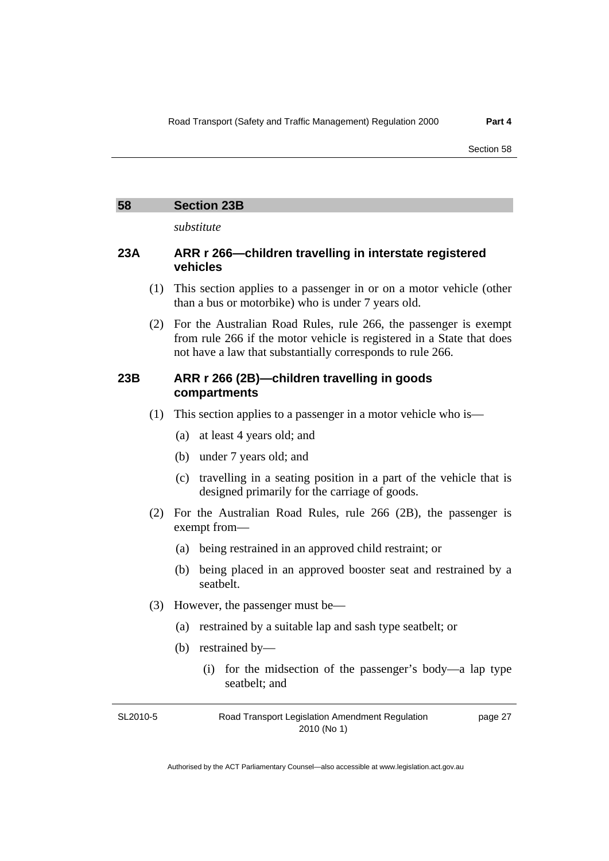<span id="page-32-0"></span>

*substitute* 

### **23A ARR r 266—children travelling in interstate registered vehicles**

- (1) This section applies to a passenger in or on a motor vehicle (other than a bus or motorbike) who is under 7 years old.
- (2) For the Australian Road Rules, rule 266, the passenger is exempt from rule 266 if the motor vehicle is registered in a State that does not have a law that substantially corresponds to rule 266.

## **23B ARR r 266 (2B)—children travelling in goods compartments**

- (1) This section applies to a passenger in a motor vehicle who is—
	- (a) at least 4 years old; and
	- (b) under 7 years old; and
	- (c) travelling in a seating position in a part of the vehicle that is designed primarily for the carriage of goods.
- (2) For the Australian Road Rules, rule 266 (2B), the passenger is exempt from—
	- (a) being restrained in an approved child restraint; or
	- (b) being placed in an approved booster seat and restrained by a seatbelt.
- (3) However, the passenger must be—
	- (a) restrained by a suitable lap and sash type seatbelt; or
	- (b) restrained by—
		- (i) for the midsection of the passenger's body—a lap type seatbelt; and

SL2010-5

Road Transport Legislation Amendment Regulation 2010 (No 1)

page 27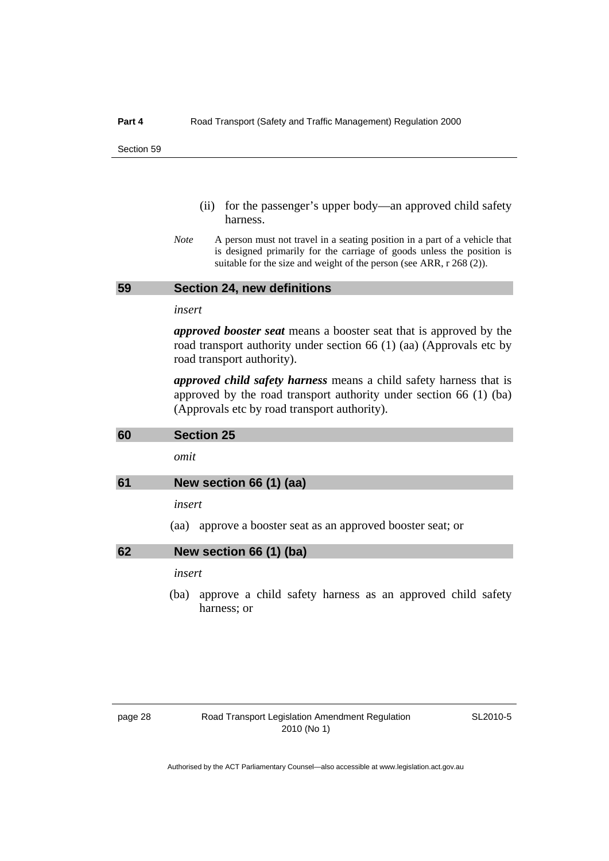- <span id="page-33-0"></span> (ii) for the passenger's upper body—an approved child safety harness.
- *Note* A person must not travel in a seating position in a part of a vehicle that is designed primarily for the carriage of goods unless the position is suitable for the size and weight of the person (see ARR, r 268 (2)).

### **59 Section 24, new definitions**

*insert* 

*approved booster seat* means a booster seat that is approved by the road transport authority under section 66 (1) (aa) (Approvals etc by road transport authority).

*approved child safety harness* means a child safety harness that is approved by the road transport authority under section 66 (1) (ba) (Approvals etc by road transport authority).

| 60 | <b>Section 25</b>                                                                 |
|----|-----------------------------------------------------------------------------------|
|    | omit                                                                              |
| 61 | New section 66 (1) (aa)                                                           |
|    | insert<br>(aa) approve a booster seat as an approved booster seat; or             |
| 62 | New section 66 (1) (ba)                                                           |
|    | insert                                                                            |
|    | approve a child safety harness as an approved child safety<br>(ba)<br>harness; or |

SL2010-5